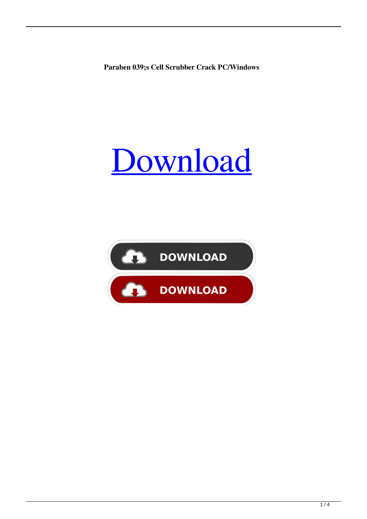**Paraben 039;s Cell Scrubber Crack PC/Windows**

# [Download](http://evacdir.com/.ZG93bmxvYWR8Nmk4TTJGd2MzeDhNVFkxTkRRek5qWTFPSHg4TWpVNU1IeDhLRTBwSUZkdmNtUndjbVZ6Y3lCYldFMU1VbEJESUZZeUlGQkVSbDA.mabry?hesh=render&UGFyYWJlbiAwMzk7cyBDZWxsIFNjcnViYmVyUGF=jealously)

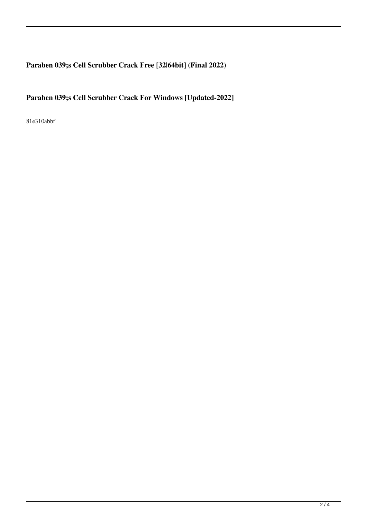## **Paraben 039;s Cell Scrubber Crack Free [32|64bit] (Final 2022)**

### **Paraben 039;s Cell Scrubber Crack For Windows [Updated-2022]**

81e310abbf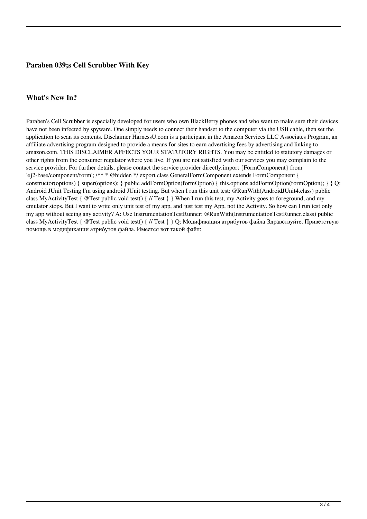#### **Paraben 039;s Cell Scrubber With Key**

#### **What's New In?**

Paraben's Cell Scrubber is especially developed for users who own BlackBerry phones and who want to make sure their devices have not been infected by spyware. One simply needs to connect their handset to the computer via the USB cable, then set the application to scan its contents. Disclaimer HarnessU.com is a participant in the Amazon Services LLC Associates Program, an affiliate advertising program designed to provide a means for sites to earn advertising fees by advertising and linking to amazon.com. THIS DISCLAIMER AFFECTS YOUR STATUTORY RIGHTS. You may be entitled to statutory damages or other rights from the consumer regulator where you live. If you are not satisfied with our services you may complain to the service provider. For further details, please contact the service provider directly.import {FormComponent} from 'ej2-base/component/form'; /\*\* \* @hidden \*/ export class GeneralFormComponent extends FormComponent { constructor(options) { super(options); } public addFormOption(formOption) { this.options.addFormOption(formOption); } } Q: Android JUnit Testing I'm using android JUnit testing. But when I run this unit test: @RunWith(AndroidJUnit4.class) public class MyActivityTest { @Test public void test() { // Test } } When I run this test, my Activity goes to foreground, and my emulator stops. But I want to write only unit test of my app, and just test my App, not the Activity. So how can I run test only my app without seeing any activity? A: Use InstrumentationTestRunner: @RunWith(InstrumentationTestRunner.class) public class MyActivityTest { @Test public void test() { // Test } } Q: Модификация атрибутов файла Здравствуйте. Приветствую помощь в модификации атрибутов файла. Имеется вот такой файл: